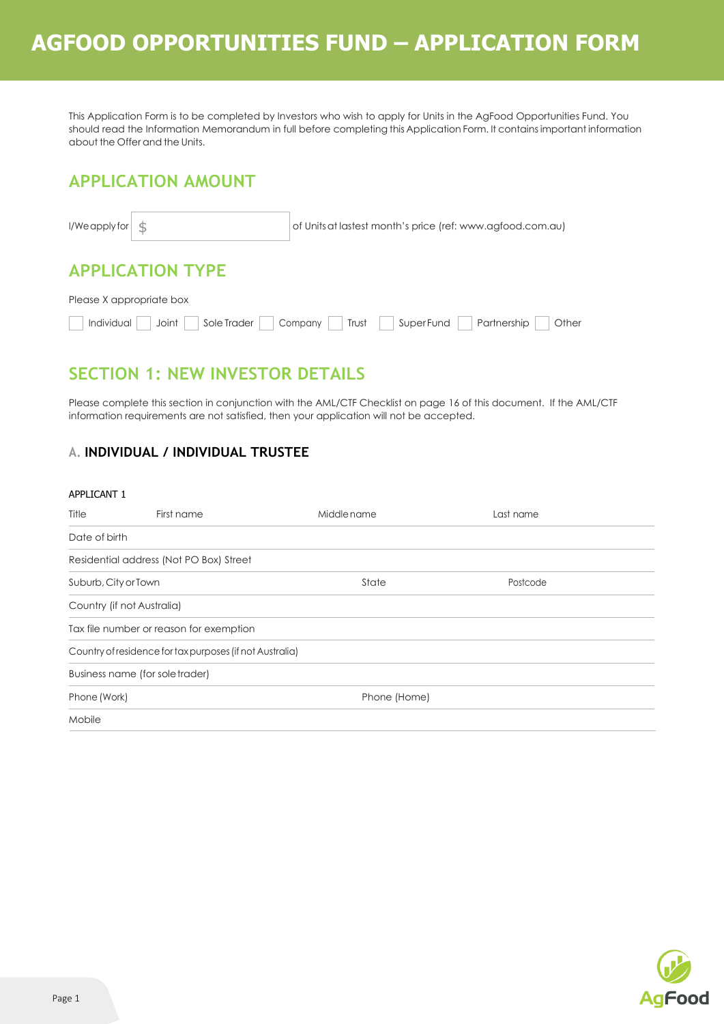This Application Form is to be completed by Investors who wish to apply for Units in the AgFood Opportunities Fund. You should read the Information Memorandum in full before completing this Application Form. It containsimportant information about the Offer and the Units.

## **APPLICATION AMOUNT**

| $I/W$ e apply for $\frac{1}{2}$    | of Units at lastest month's price (ref: www.agfood.com.au) |
|------------------------------------|------------------------------------------------------------|
| <b>APPLICATION TYPE</b>            |                                                            |
| Please X appropriate box           |                                                            |
| Individual<br>Joint<br>Sole Trader | Partnership<br>SuperFund<br>Other<br>Company<br>Trust      |

## **SECTION 1: NEW INVESTOR DETAILS**

Please complete this section in conjunction with the AML/CTF Checklist on page 16 of this document. If the AML/CTF information requirements are not satisfied, then your application will not be accepted.

### **A. INDIVIDUAL / INDIVIDUAL TRUSTEE**

#### APPLICANT 1

| Title                | First name                                               | Middle name  | Last name |  |
|----------------------|----------------------------------------------------------|--------------|-----------|--|
| Date of birth        |                                                          |              |           |  |
|                      | Residential address (Not PO Box) Street                  |              |           |  |
| Suburb, City or Town |                                                          | State        | Postcode  |  |
|                      | Country (if not Australia)                               |              |           |  |
|                      | Tax file number or reason for exemption                  |              |           |  |
|                      | Country of residence for tax purposes (if not Australia) |              |           |  |
|                      | Business name (for sole trader)                          |              |           |  |
| Phone (Work)         |                                                          | Phone (Home) |           |  |
| Mobile               |                                                          |              |           |  |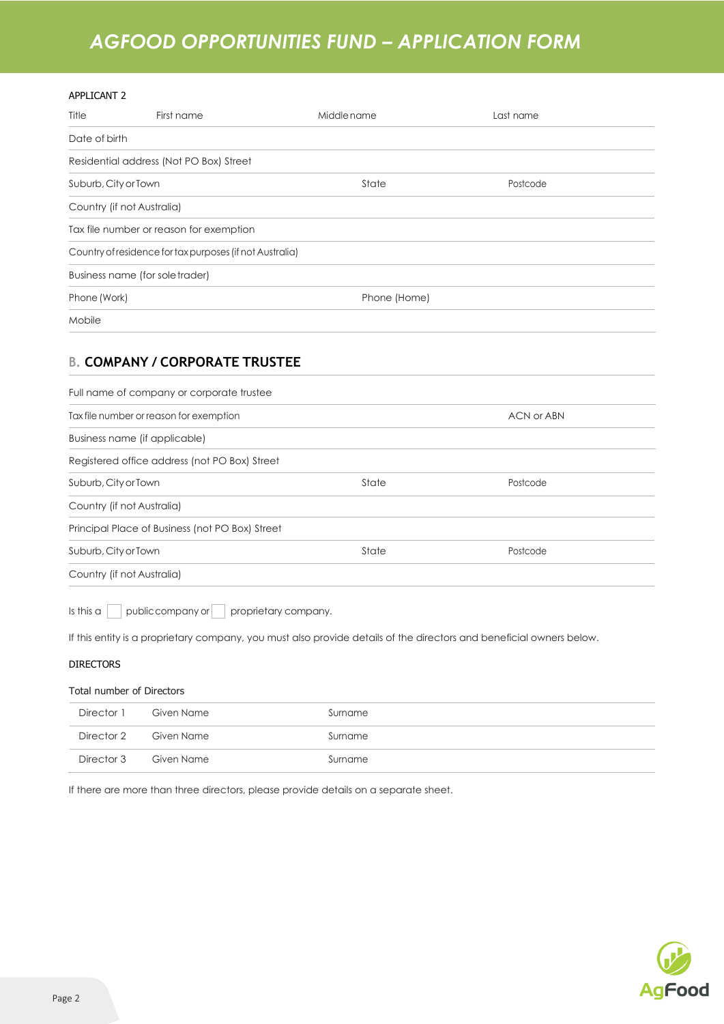#### APPLICANT 2

| Title                | First name                                               | Middle name  | Last name |  |
|----------------------|----------------------------------------------------------|--------------|-----------|--|
| Date of birth        |                                                          |              |           |  |
|                      | Residential address (Not PO Box) Street                  |              |           |  |
| Suburb, City or Town |                                                          | State        | Postcode  |  |
|                      | Country (if not Australia)                               |              |           |  |
|                      | Tax file number or reason for exemption                  |              |           |  |
|                      | Country of residence for tax purposes (if not Australia) |              |           |  |
|                      | Business name (for sole trader)                          |              |           |  |
| Phone (Work)         |                                                          | Phone (Home) |           |  |
| Mobile               |                                                          |              |           |  |

### **B. COMPANY / CORPORATE TRUSTEE**

| Full name of company or corporate trustee             |       |          |
|-------------------------------------------------------|-------|----------|
| Tax file number or reason for exemption<br>ACN or ABN |       |          |
| Business name (if applicable)                         |       |          |
| Registered office address (not PO Box) Street         |       |          |
| Suburb, City or Town                                  | State | Postcode |
| Country (if not Australia)                            |       |          |
| Principal Place of Business (not PO Box) Street       |       |          |
| Suburb, City or Town                                  | State | Postcode |
| Country (if not Australia)                            |       |          |
|                                                       |       |          |

Is this a public company or proprietary company.

If this entity is a proprietary company, you must also provide details of the directors and beneficial owners below.

#### DIRECTORS

#### Total number of Directors

|            | Director 1 Given Name | Surname |
|------------|-----------------------|---------|
|            | Director 2 Given Name | Surname |
| Director 3 | Given Name            | Surname |

If there are more than three directors, please provide details on a separate sheet.

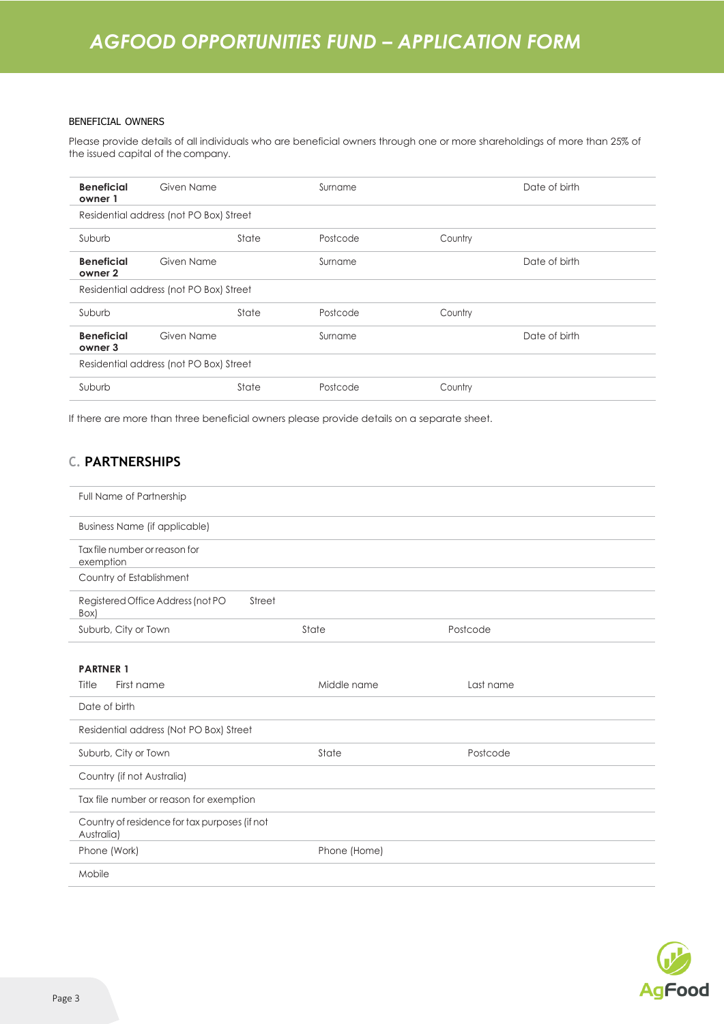#### BENEFICIAL OWNERS

Please provide details of all individuals who are beneficial owners through one or more shareholdings of more than 25% of the issued capital of the company.

| <b>Beneficial</b><br>owner 1 | Given Name                              |       | Surname  |         | Date of birth |  |
|------------------------------|-----------------------------------------|-------|----------|---------|---------------|--|
|                              | Residential address (not PO Box) Street |       |          |         |               |  |
| Suburb                       |                                         | State | Postcode | Country |               |  |
| <b>Beneficial</b><br>owner 2 | Given Name                              |       | Surname  |         | Date of birth |  |
|                              | Residential address (not PO Box) Street |       |          |         |               |  |
| Suburb                       |                                         | State | Postcode | Country |               |  |
| <b>Beneficial</b><br>owner 3 | Given Name                              |       | Surname  |         | Date of birth |  |
|                              | Residential address (not PO Box) Street |       |          |         |               |  |
| Suburb                       |                                         | State | Postcode | Country |               |  |
|                              |                                         |       |          |         |               |  |

If there are more than three beneficial owners please provide details on a separate sheet.

### **C. PARTNERSHIPS**

| Full Name of Partnership                                    |              |           |
|-------------------------------------------------------------|--------------|-----------|
| <b>Business Name (if applicable)</b>                        |              |           |
| Tax file number or reason for<br>exemption                  |              |           |
| Country of Establishment                                    |              |           |
| Registered Office Address (not PO<br>Street<br>Box)         |              |           |
| Suburb, City or Town                                        | State        | Postcode  |
|                                                             |              |           |
| <b>PARTNER 1</b>                                            |              |           |
| First name<br>Title                                         | Middle name  | Last name |
| Date of birth                                               |              |           |
| Residential address (Not PO Box) Street                     |              |           |
| Suburb, City or Town                                        | State        | Postcode  |
| Country (if not Australia)                                  |              |           |
| Tax file number or reason for exemption                     |              |           |
| Country of residence for tax purposes (if not<br>Australia) |              |           |
| Phone (Work)                                                | Phone (Home) |           |
| Mobile                                                      |              |           |

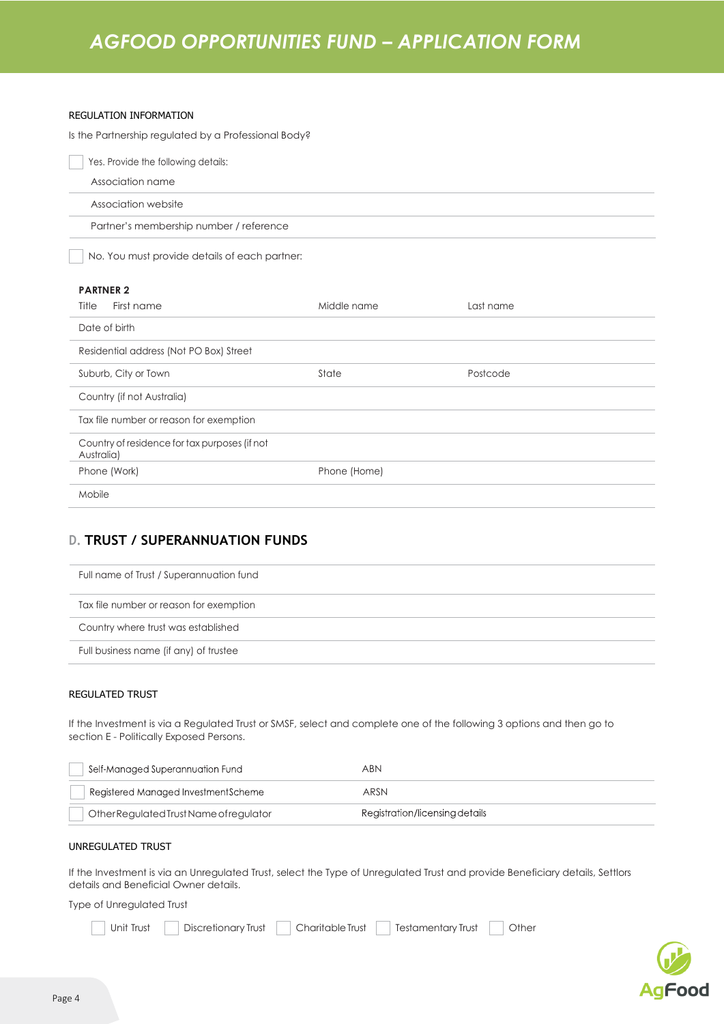#### REGULATION INFORMATION

Is the Partnership regulated by a Professional Body?

| Yes. Provide the following details:                         |              |           |
|-------------------------------------------------------------|--------------|-----------|
| Association name                                            |              |           |
| Association website                                         |              |           |
| Partner's membership number / reference                     |              |           |
| No. You must provide details of each partner:               |              |           |
| <b>PARTNER 2</b>                                            |              |           |
| Title<br>First name                                         | Middle name  | Last name |
| Date of birth                                               |              |           |
| Residential address (Not PO Box) Street                     |              |           |
| Suburb, City or Town                                        | State        | Postcode  |
| Country (if not Australia)                                  |              |           |
| Tax file number or reason for exemption                     |              |           |
| Country of residence for tax purposes (if not<br>Australia) |              |           |
| Phone (Work)                                                | Phone (Home) |           |
| Mobile                                                      |              |           |

### **D. TRUST / SUPERANNUATION FUNDS**

| Full name of Trust / Superannuation fund |
|------------------------------------------|
| Tax file number or reason for exemption  |
| Country where trust was established      |
| Full business name (if any) of trustee   |

#### REGULATED TRUST

If the Investment is via a Regulated Trust or SMSF, select and complete one of the following 3 options and then go to section E - Politically Exposed Persons.

| Self-Managed Superannuation Fund        | ABN                            |
|-----------------------------------------|--------------------------------|
| Registered Managed InvestmentScheme     | ARSN                           |
| Other Regulated Trust Name of regulator | Registration/licensing details |

#### UNREGULATED TRUST

If the Investment is via an Unregulated Trust, select the Type of Unregulated Trust and provide Beneficiary details, Settlors details and Beneficial Owner details.

Type of Unregulated Trust

Unit Trust Discretionary Trust Charitable Trust Testamentary Trust Other

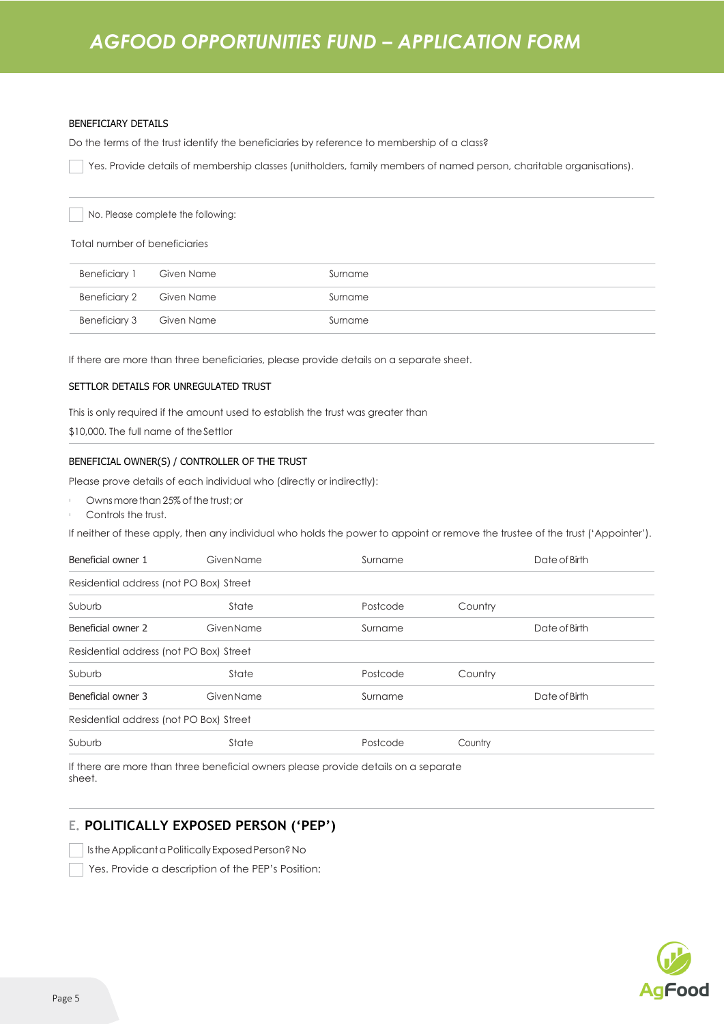#### BENEFICIARY DETAILS

Do the terms of the trust identify the beneficiaries by reference to membership of a class?

Yes. Provide details of membership classes (unitholders, family members of named person, charitable organisations).

No. Please complete the following:

Total number of beneficiaries

| Beneficiary 1 Given Name | Surname |
|--------------------------|---------|
| Beneficiary 2 Given Name | Surname |
| Beneficiary 3 Given Name | Surname |

If there are more than three beneficiaries, please provide details on a separate sheet.

#### SETTLOR DETAILS FOR UNREGULATED TRUST

This is only required if the amount used to establish the trust was greater than

\$10,000. The full name of theSettlor

#### BENEFICIAL OWNER(S) / CONTROLLER OF THE TRUST

Please prove details of each individual who (directly or indirectly):

- Ownsmore than 25% of the trust; or
- Controls the trust.

If neither of these apply, then any individual who holds the power to appoint or remove the trustee of the trust ('Appointer').

| Beneficial owner 1                      | <b>Given Name</b> | Surname  |         | Date of Birth |  |
|-----------------------------------------|-------------------|----------|---------|---------------|--|
| Residential address (not PO Box) Street |                   |          |         |               |  |
| Suburb                                  | State             | Postcode | Country |               |  |
| Beneficial owner 2                      | Given Name        | Surname  |         | Date of Birth |  |
| Residential address (not PO Box) Street |                   |          |         |               |  |
| Suburb                                  | State             | Postcode | Country |               |  |
| Beneficial owner 3                      | <b>GivenName</b>  | Surname  |         | Date of Birth |  |
| Residential address (not PO Box) Street |                   |          |         |               |  |
| Suburb                                  | State             | Postcode | Country |               |  |
|                                         |                   |          |         |               |  |

If there are more than three beneficial owners please provide details on a separate sheet.

### **E. POLITICALLY EXPOSED PERSON ('PEP')**

Is the Applicant a Politically Exposed Person? No

Yes. Provide a description of the PEP's Position:

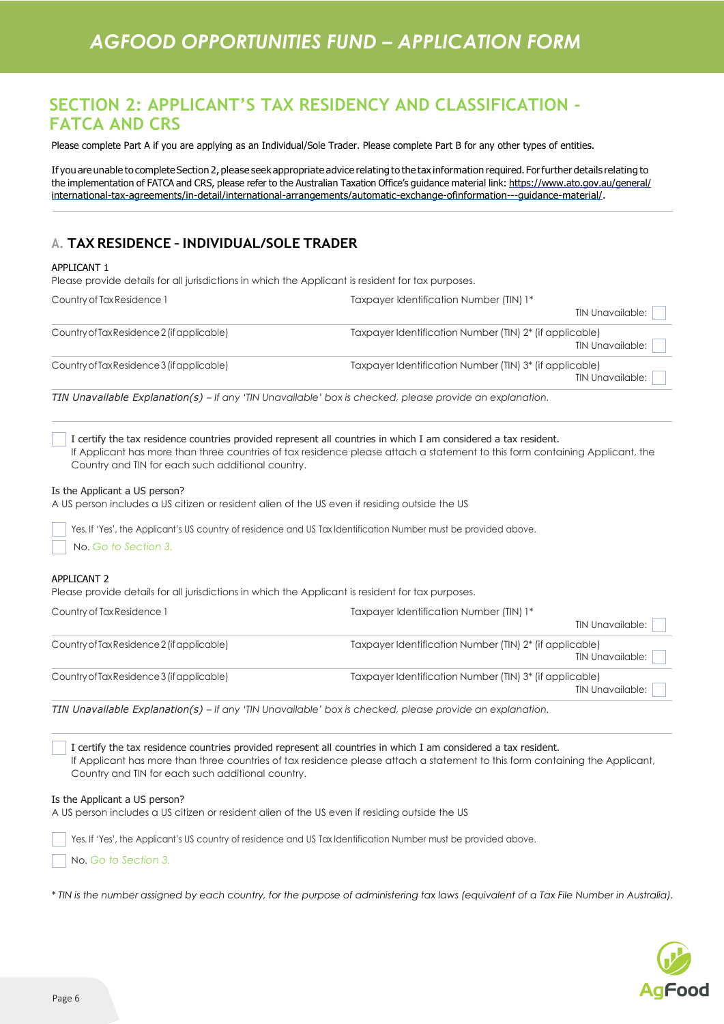## **SECTION 2: APPLICANT'S TAX RESIDENCY AND CLASSIFICATION - FATCA AND CRS**

Please complete Part A if you are applying as an Individual/Sole Trader. Please complete Part B for any other types of entities.

If you are unable to complete Section 2, please seek appropriate advice relating to the tax information required. For further details relating to the implementation of FATCA and CRS, please refer to the Australian Taxation Office's guidance material link: [https://www.](http://www.ato.gov.au/general/)ato.go[v.au/general/](http://www.ato.gov.au/general/) international-tax-agreements/in-detail/international-arrangements/automatic-exchange-ofinformation---guidance-material/.

### **A. TAX RESIDENCE –INDIVIDUAL/SOLE TRADER**

#### APPLICANT 1

Please provide details for all jurisdictions in which the Applicant is resident for tax purposes.

| Country of Tax Residence 1                 | Taxpayer Identification Number (TIN) 1*                                                 |  |  |  |  |
|--------------------------------------------|-----------------------------------------------------------------------------------------|--|--|--|--|
|                                            | TIN Unavailable:                                                                        |  |  |  |  |
| Country of Tax Residence 2 (if applicable) | Taxpayer Identification Number (TIN) 2 <sup>*</sup> (if applicable)<br>TIN Unavailable: |  |  |  |  |
| Country of Tax Residence 3 (if applicable) | Taxpayer Identification Number (TIN) 3 <sup>*</sup> (if applicable)<br>TIN Unavailable: |  |  |  |  |

*TIN Unavailable Explanation(s) – If any 'TIN Unavailable' box is checked, please provide an explanation.*

I certify the tax residence countries provided represent all countries in which I am considered a tax resident. If Applicant has more than three countries of tax residence please attach a statement to this form containing Applicant, the Country and TIN for each such additional country.

#### Is the Applicant a US person?

A US person includes a US citizen or resident alien of the US even if residing outside the US

Yes. If 'Yes', the Applicant's US country of residence and US Tax Identification Number must be provided above.

No. *Go to Section 3.*

#### APPI ICANT 2

Please provide details for all jurisdictions in which the Applicant is resident for tax purposes.

| Country of Tax Residence 1                 | Taxpayer Identification Number (TIN) 1*                                                              |
|--------------------------------------------|------------------------------------------------------------------------------------------------------|
|                                            | TIN Unavailable:                                                                                     |
| Country of Tax Residence 2 (if applicable) | Taxpayer Identification Number (TIN) 2* (if applicable)<br>TIN Unavailable:                          |
| Country of Tax Residence 3 (if applicable) | Taxpayer Identification Number (TIN) 3* (if applicable)<br>TIN Unavailable:                          |
|                                            | TIM Unovailable Evalenction (a) U survitti Unovailable Law is absolved planes provide an ovalenction |

*TIN Unavailable Explanation(s) – If any 'TIN Unavailable' box is checked, please provide an explanation.*

I certify the tax residence countries provided represent all countries in which I am considered a tax resident. If Applicant has more than three countries of tax residence please attach a statement to this form containing the Applicant, Country and TIN for each such additional country.

#### Is the Applicant a US person?

A US person includes a US citizen or resident alien of the US even if residing outside the US

Yes. If 'Yes', the Applicant's US country of residence and US Tax Identification Number must be provided above.

No. *Go to Section 3.*

*\* TIN is the number assigned by each country, for the purpose of administering tax laws (equivalent of a Tax File Number in Australia).*

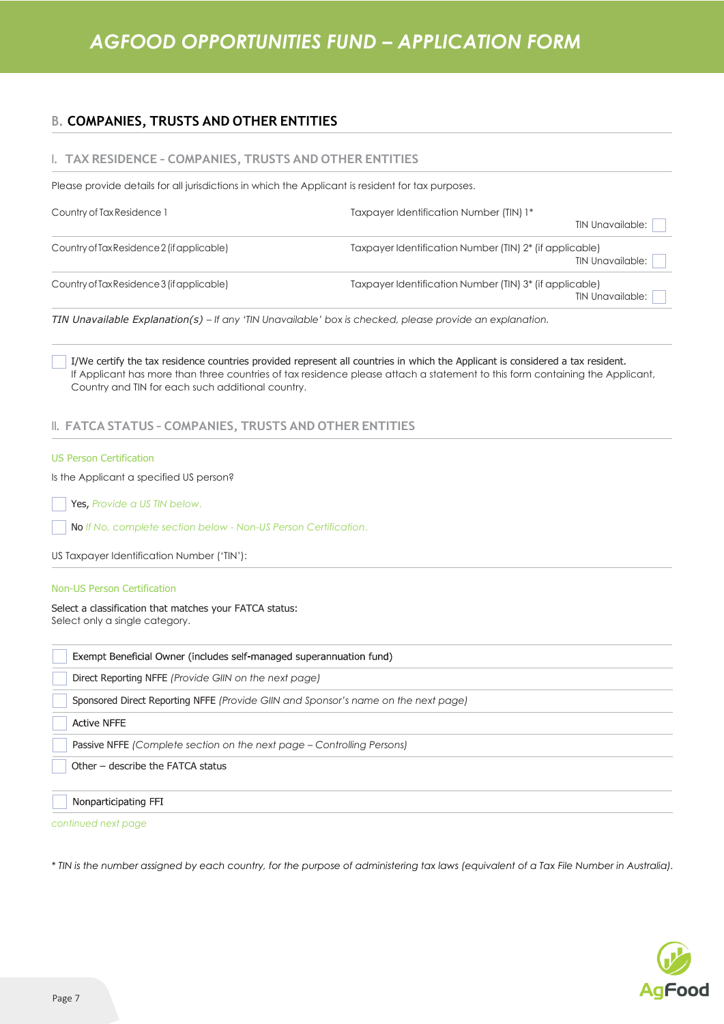### **B. COMPANIES, TRUSTS AND OTHER ENTITIES**

#### **I. TAX RESIDENCE – COMPANIES, TRUSTS AND OTHER ENTITIES**

Please provide details for all jurisdictions in which the Applicant is resident for tax purposes.

| Country of Tax Residence 1                 | Taxpayer Identification Number (TIN) 1*<br><b>TIN Unavailable:</b>                 |
|--------------------------------------------|------------------------------------------------------------------------------------|
| Country of Tax Residence 2 (if applicable) | Taxpayer Identification Number (TIN) 2* (if applicable)<br>TIN Unavailable:        |
| Country of Tax Residence 3 (if applicable) | Taxpayer Identification Number (TIN) 3* (if applicable)<br><b>TIN Unavailable:</b> |

*TIN Unavailable Explanation(s) – If any 'TIN Unavailable' box is checked, please provide an explanation.*

I/We certify the tax residence countries provided represent all countries in which the Applicant is considered a tax resident. If Applicant has more than three countries of tax residence please attach a statement to this form containing the Applicant, Country and TIN for each such additional country.

### **II. FATCA STATUS – COMPANIES, TRUSTS AND OTHER ENTITIES**

#### US Person Certification

Is the Applicant a specified US person?

Yes, *Provide a US TIN below*.

No *If No, complete section below - Non-US Person Certification*.

US Taxpayer Identification Number ('TIN'):

#### Non-US Person Certification

Select a classification that matches your FATCA status:

Select only a single category.

| Exempt Beneficial Owner (includes self-managed superannuation fund)                |
|------------------------------------------------------------------------------------|
| Direct Reporting NFFE (Provide GIIN on the next page)                              |
| Sponsored Direct Reporting NFFE (Provide GIIN and Sponsor's name on the next page) |
| <b>Active NFFE</b>                                                                 |
| Passive NFFE (Complete section on the next page – Controlling Persons)             |
| Other – describe the FATCA status                                                  |
|                                                                                    |
| Nonparticipating FFI                                                               |

*continued next page*

*\* TIN is the number assigned by each country, for the purpose of administering tax laws (equivalent of a Tax File Number in Australia).*

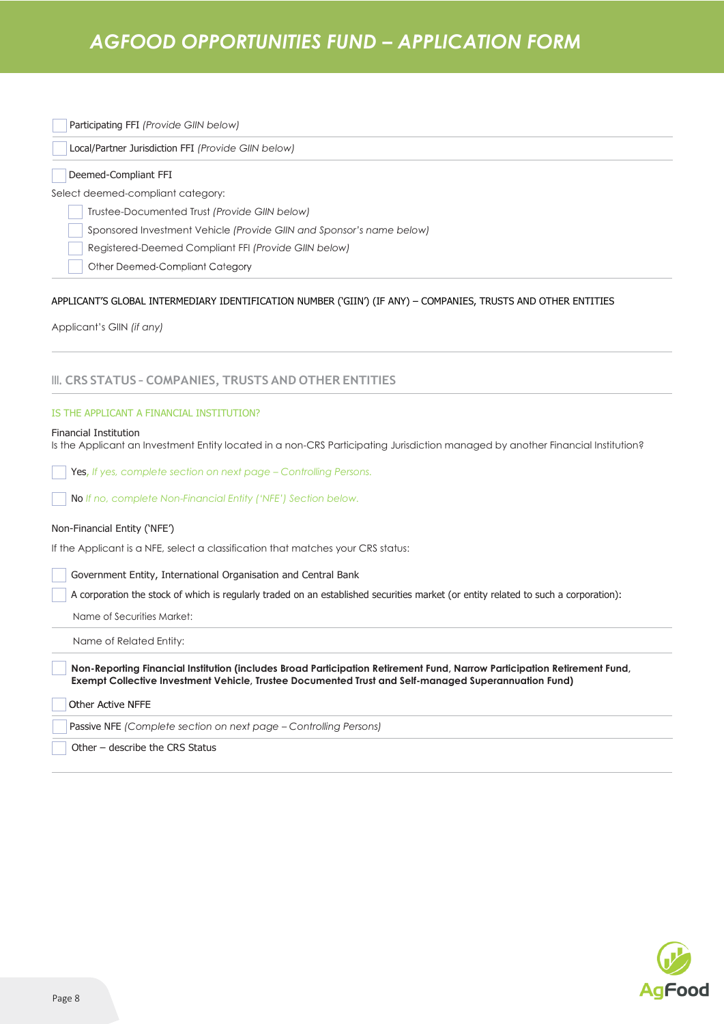Participating FFI *(Provide GIIN below)*

 $\Box$ 

Local/Partner Jurisdiction FFI *(Provide GIIN below)*

| Deemed-Compliant FFI                                                                                                                                                                                                             |
|----------------------------------------------------------------------------------------------------------------------------------------------------------------------------------------------------------------------------------|
| Select deemed-compliant category:                                                                                                                                                                                                |
| Trustee-Documented Trust (Provide GIIN below)                                                                                                                                                                                    |
| Sponsored Investment Vehicle (Provide GIIN and Sponsor's name below)                                                                                                                                                             |
| Registered-Deemed Compliant FFI (Provide GIIN below)                                                                                                                                                                             |
| Other Deemed-Compliant Category                                                                                                                                                                                                  |
| APPLICANT'S GLOBAL INTERMEDIARY IDENTIFICATION NUMBER ('GIIN') (IF ANY) - COMPANIES, TRUSTS AND OTHER ENTITIES<br>Applicant's GIIN (if any)                                                                                      |
|                                                                                                                                                                                                                                  |
| III. CRS STATUS - COMPANIES, TRUSTS AND OTHER ENTITIES                                                                                                                                                                           |
| IS THE APPLICANT A FINANCIAL INSTITUTION?                                                                                                                                                                                        |
| <b>Financial Institution</b><br>Is the Applicant an Investment Entity located in a non-CRS Participating Jurisdiction managed by another Financial Institution?                                                                  |
| <b>Yes, If yes, complete section on next page – Controlling Persons.</b>                                                                                                                                                         |
| No If no, complete Non-Financial Entity ('NFE') Section below.                                                                                                                                                                   |
| Non-Financial Entity ('NFE')                                                                                                                                                                                                     |
| If the Applicant is a NFE, select a classification that matches your CRS status:                                                                                                                                                 |
| Government Entity, International Organisation and Central Bank                                                                                                                                                                   |
| A corporation the stock of which is regularly traded on an established securities market (or entity related to such a corporation):                                                                                              |
| Name of Securities Market:                                                                                                                                                                                                       |
| Name of Related Entity:                                                                                                                                                                                                          |
| Non-Reporting Financial Institution (includes Broad Participation Retirement Fund, Narrow Participation Retirement Fund,<br>Exempt Collective Investment Vehicle, Trustee Documented Trust and Self-managed Superannuation Fund) |
| <b>Other Active NFFE</b>                                                                                                                                                                                                         |
| Passive NFE (Complete section on next page - Controlling Persons)                                                                                                                                                                |
| Other - describe the CRS Status                                                                                                                                                                                                  |

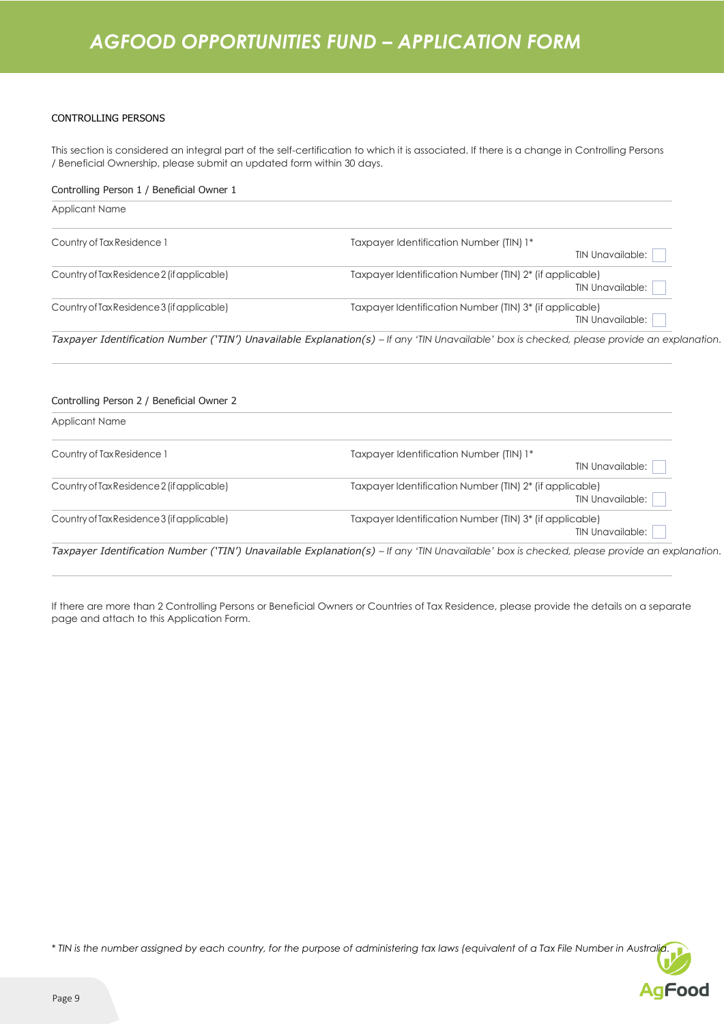#### CONTROLLING PERSONS

This section is considered an integral part of the self-certification to which it is associated. If there is a change in Controlling Persons / Beneficial Ownership, please submit an updated form within 30 days.

| Controlling Person 1 / Beneficial Owner 1  |                                                                                                                                             |
|--------------------------------------------|---------------------------------------------------------------------------------------------------------------------------------------------|
| <b>Applicant Name</b>                      |                                                                                                                                             |
| Country of Tax Residence 1                 | Taxpayer Identification Number (TIN) 1*                                                                                                     |
|                                            | TIN Unavailable:                                                                                                                            |
| Country of Tax Residence 2 (if applicable) | Taxpayer Identification Number (TIN) 2* (if applicable)                                                                                     |
|                                            | TIN Unavailable:                                                                                                                            |
| Country of Tax Residence 3 (if applicable) | Taxpayer Identification Number (TIN) 3* (if applicable)                                                                                     |
|                                            | <b>TIN Unavailable:</b>                                                                                                                     |
|                                            | Taxpayer Identification Number ('TIN') Unavailable Explanation(s) – If any 'TIN Unavailable' box is checked, please provide an explanation. |
| Controlling Person 2 / Beneficial Owner 2  |                                                                                                                                             |
| <b>Applicant Name</b>                      |                                                                                                                                             |
| Country of Tax Residence 1                 | Taxpayer Identification Number (TIN) 1*                                                                                                     |
|                                            | TIN Unavailable:                                                                                                                            |

|                                            | TIN Unavailable:                                                            |
|--------------------------------------------|-----------------------------------------------------------------------------|
| Country of Tax Residence 2 (if applicable) | Taxpayer Identification Number (TIN) 2* (if applicable)<br>TIN Unavailable: |
| Country of Tax Residence 3 (if applicable) | Taxpayer Identification Number (TIN) 3* (if applicable)<br>TIN Unavailable: |

Taxpayer Identification Number ('TIN') Unavailable Explanation(s) - If any 'TIN Unavailable' box is checked, please provide an explanation.

If there are more than 2 Controlling Persons or Beneficial Owners or Countries of Tax Residence, please provide the details on a separate page and attach to this Application Form.

*\* TIN is the number assigned by each country, for the purpose of administering tax laws (equivalent of a Tax File Number in Australia.*

**AgFood**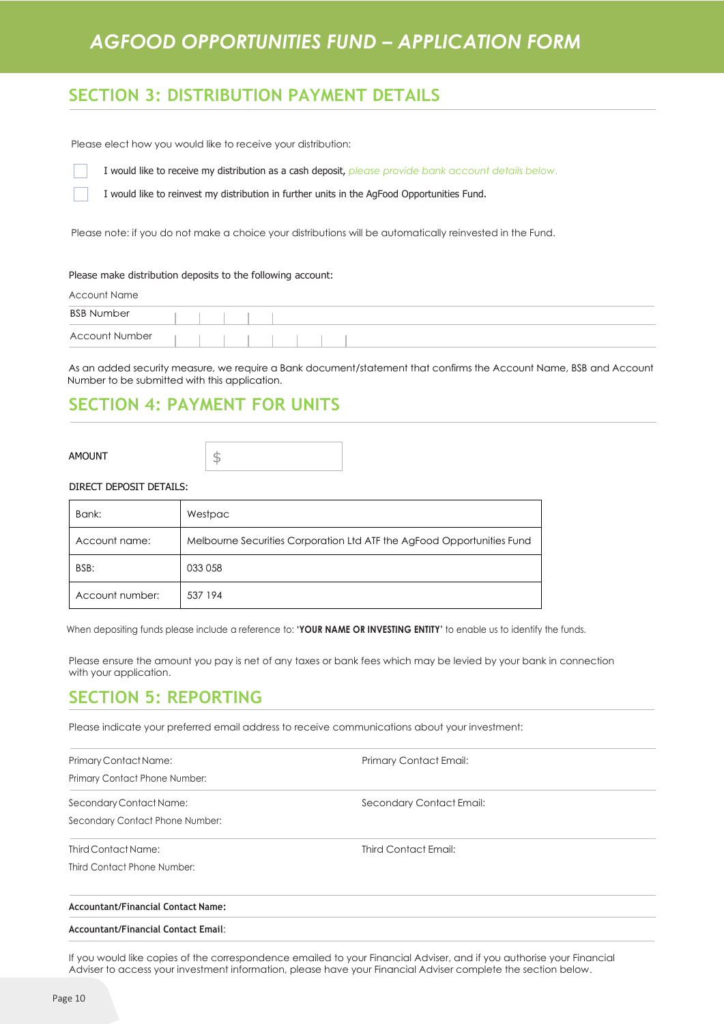## **SECTION 3: DISTRIBUTION PAYMENT DETAILS**

Please elect how you would like to receive your distribution:

I would like to receive my distribution as a cash deposit, *please provide bank account details below*.

I would like to reinvest my distribution in further units in the AgFood Opportunities Fund.

Please note: if you do not make a choice your distributions will be automatically reinvested in the Fund.

#### Please make distribution deposits to the following account:

| Account Name          |  |  |  |  |  |  |  |  |  |  |
|-----------------------|--|--|--|--|--|--|--|--|--|--|
| <b>BSB Number</b>     |  |  |  |  |  |  |  |  |  |  |
| <b>Account Number</b> |  |  |  |  |  |  |  |  |  |  |

As an added security measure, we require a Bank document/statement that confirms the Account Name, BSB and Account Number to be submitted with this application.

## **SECTION 4: PAYMENT FOR UNITS**

AMOUNT

\$

#### DIRECT DEPOSIT DETAILS:

| Bank:           | Westpac                                                                |
|-----------------|------------------------------------------------------------------------|
| Account name:   | Melbourne Securities Corporation Ltd ATF the AgFood Opportunities Fund |
| BSB:            | 033 058                                                                |
| Account number: | 537 194                                                                |

When depositing funds please include a reference to: **'YOUR NAME OR INVESTING ENTITY'** to enable us to identify the funds.

Please ensure the amount you pay is net of any taxes or bank fees which may be levied by your bank in connection with your application.

### **SECTION 5: REPORTING**

Please indicate your preferred email address to receive communications about your investment:

| Primary Contact Name:           | Primary Contact Email:   |  |
|---------------------------------|--------------------------|--|
| Primary Contact Phone Number:   |                          |  |
| Secondary Contact Name:         | Secondary Contact Email: |  |
| Secondary Contact Phone Number: |                          |  |
| Third Contact Name:             | Third Contact Email:     |  |
| Third Contact Phone Number:     |                          |  |
|                                 |                          |  |

#### **Accountant/Financial Contact Name:**

#### **Accountant/Financial Contact Email**:

If you would like copies of the correspondence emailed to your Financial Adviser, and if you authorise your Financial Adviser to access your investment information, please have your Financial Adviser complete the section below.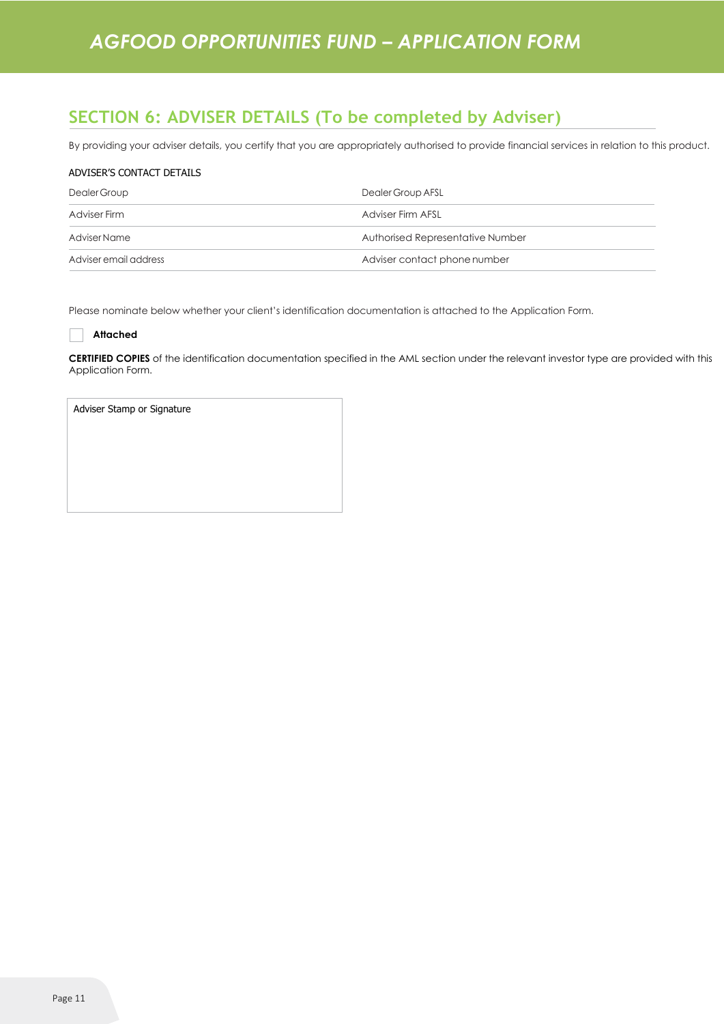## **SECTION 6: ADVISER DETAILS (To be completed by Adviser)**

By providing your adviser details, you certify that you are appropriately authorised to provide financial services in relation to this product.

#### ADVISER'S CONTACT DETAILS

| Dealer Group          | Dealer Group AFSL                |
|-----------------------|----------------------------------|
| Adviser Firm          | Adviser Firm AFSL                |
| Adviser Name          | Authorised Representative Number |
| Adviser email address | Adviser contact phone number     |

Please nominate below whether your client's identification documentation is attached to the Application Form.

#### **Attached**

**CERTIFIED COPIES** of the identification documentation specified in the AML section under the relevant investor type are provided with this Application Form.

| Adviser Stamp or Signature |
|----------------------------|
|                            |
|                            |
|                            |
|                            |
|                            |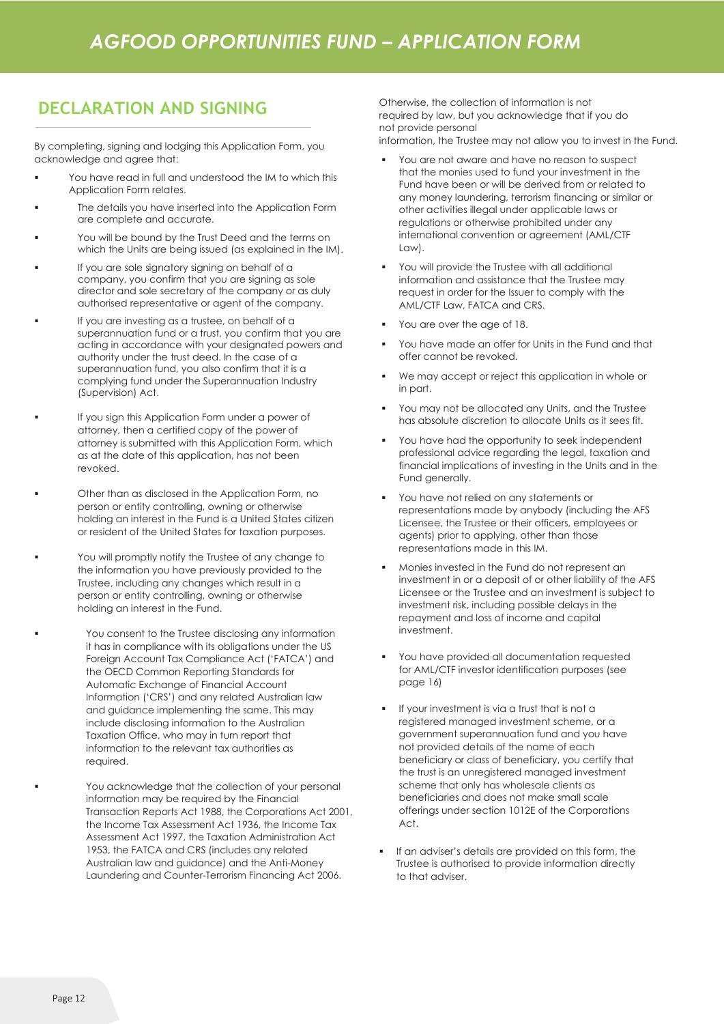## **DECLARATION AND SIGNING**

By completing, signing and lodging this Application Form, you acknowledge and agree that:

- You have read in full and understood the IM to which this Application Form relates.
- The details you have inserted into the Application Form are complete and accurate.
- You will be bound by the Trust Deed and the terms on which the Units are being issued (as explained in the IM).
- If you are sole signatory signing on behalf of a company, you confirm that you are signing as sole director and sole secretary of the company or as duly authorised representative or agent of the company.
- If you are investing as a trustee, on behalf of a superannuation fund or a trust, you confirm that you are acting in accordance with your designated powers and authority under the trust deed. In the case of a superannuation fund, you also confirm that it is a complying fund under the Superannuation Industry (Supervision) Act.
- If you sign this Application Form under a power of attorney, then a certified copy of the power of attorney is submitted with this Application Form, which as at the date of this application, has not been revoked.
- Other than as disclosed in the Application Form, no person or entity controlling, owning or otherwise holding an interest in the Fund is a United States citizen or resident of the United States for taxation purposes.
- You will promptly notify the Trustee of any change to the information you have previously provided to the Trustee, including any changes which result in a person or entity controlling, owning or otherwise holding an interest in the Fund.
- You consent to the Trustee disclosing any information it has in compliance with its obligations under the US Foreign Account Tax Compliance Act ('FATCA') and the OECD Common Reporting Standards for Automatic Exchange of Financial Account Information ('CRS') and any related Australian law and guidance implementing the same. This may include disclosing information to the Australian Taxation Office, who may in turn report that information to the relevant tax authorities as required.
	- You acknowledge that the collection of your personal information may be required by the Financial Transaction Reports Act 1988, the Corporations Act 2001, the Income Tax Assessment Act 1936, the Income Tax Assessment Act 1997, the Taxation Administration Act 1953, the FATCA and CRS (includes any related Australian law and guidance) and the Anti-Money Laundering and Counter-Terrorism Financing Act 2006.

Otherwise, the collection of information is not required by law, but you acknowledge that if you do not provide personal

information, the Trustee may not allow you to invest in the Fund.

- You are not aware and have no reason to suspect that the monies used to fund your investment in the Fund have been or will be derived from or related to any money laundering, terrorism financing or similar or other activities illegal under applicable laws or regulations or otherwise prohibited under any international convention or agreement (AML/CTF Law).
- You will provide the Trustee with all additional information and assistance that the Trustee may request in order for the Issuer to comply with the AML/CTF Law, FATCA and CRS.
- You are over the age of 18.
- You have made an offer for Units in the Fund and that offer cannot be revoked.
- We may accept or reject this application in whole or in part.
- You may not be allocated any Units, and the Trustee has absolute discretion to allocate Units as it sees fit.
- You have had the opportunity to seek independent professional advice regarding the legal, taxation and financial implications of investing in the Units and in the Fund generally.
- You have not relied on any statements or representations made by anybody (including the AFS Licensee, the Trustee or their officers, employees or agents) prior to applying, other than those representations made in this IM.
- Monies invested in the Fund do not represent an investment in or a deposit of or other liability of the AFS Licensee or the Trustee and an investment is subject to investment risk, including possible delays in the repayment and loss of income and capital investment.
- You have provided all documentation requested for AML/CTF investor identification purposes (see page 16)
- If your investment is via a trust that is not a registered managed investment scheme, or a government superannuation fund and you have not provided details of the name of each beneficiary or class of beneficiary, you certify that the trust is an unregistered managed investment scheme that only has wholesale clients as beneficiaries and does not make small scale offerings under section 1012E of the Corporations Act.
- If an adviser's details are provided on this form, the Trustee is authorised to provide information directly to that adviser.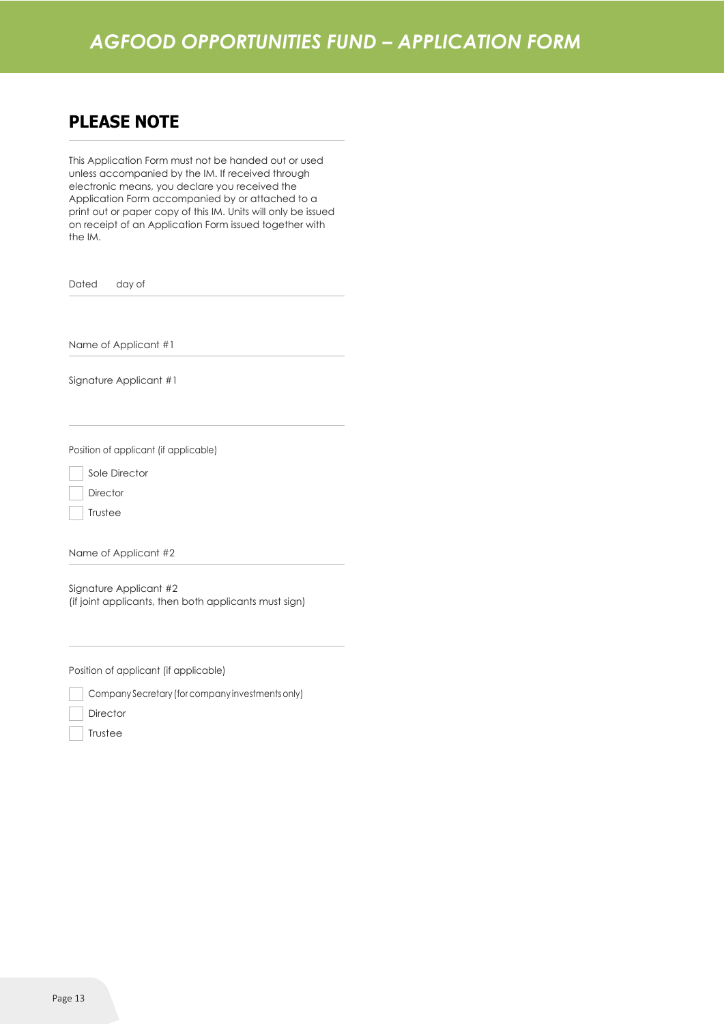### **PLEASE NOTE**

This Application Form must not be handed out or used unless accompanied by the IM. If received through electronic means, you declare you received the Application Form accompanied by or attached to a print out or paper copy of this IM. Units will only be issued on receipt of an Application Form issued together with the IM.

Dated day of

Name of Applicant #1

Signature Applicant #1

Position of applicant (if applicable)

Sole Director

**Director** 

Trustee

Name of Applicant #2

Signature Applicant #2 (if joint applicants, then both applicants must sign)

Position of applicant (if applicable)

Company Secretary (forcompany investmentsonly)

**Director** 

Trustee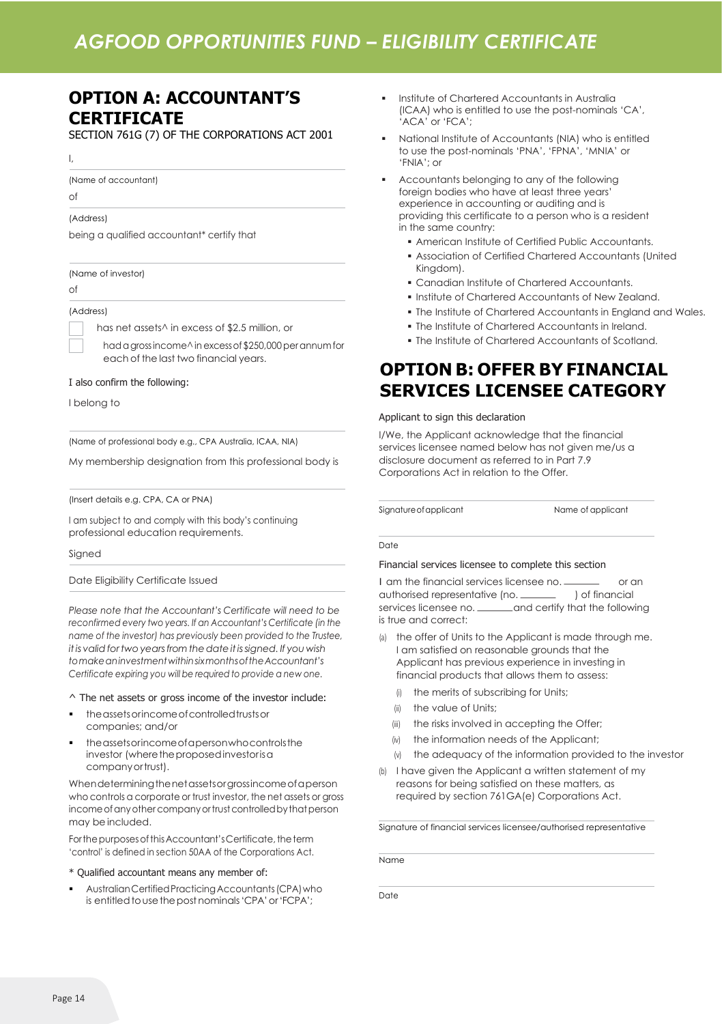## *AGFOOD OPPORTUNITIES FUND – ELIGIBILITY CERTIFICATE*

## **OPTION A: ACCOUNTANT'S CERTIFICATE**

SECTION 761G (7) OF THE CORPORATIONS ACT 2001

I,

(Name of accountant)

of

#### (Address)

being a qualified accountant\* certify that

(Name of investor)

of

(Address)

has net assets^ in excess of \$2.5 million, or

had a grossincome^ in excess of \$250,000 per annum for each of the last two financial years.

#### I also confirm the following:

I belong to

(Name of professional body e.g., CPA Australia, ICAA, NIA)

My membership designation from this professional body is

(Insert details e.g. CPA, CA or PNA)

I am subject to and comply with this body's continuing professional education requirements.

Signed

Date Eligibility Certificate Issued

*Please note that the Accountant's Certificate will need to be reconfirmed every two years. If an Accountant's Certificate (in the name of the investor) has previously been provided to the Trustee, itis validfortwo yearsfromthedateitissigned. If you wish tomakeaninvestmentwithinsixmonthsoftheAccountant's Certificate expiring you will be required to provide a new one.*

#### ^ The net assets or gross income of the investor include:

- the assets or income of controlled trusts or companies; and/or
- the assets or income of a person who controls the investor (where the proposed investor is a companyortrust).

Whendeterminingthenetassetsorgrossincomeofaperson who controls a corporate or trust investor, the net assets or gross income of any other company or trust controlled by that person may be included.

For the purposes of this Accountant's Certificate, the term 'control' is defined in section 50AA of the Corporations Act.

#### \* Qualified accountant means any member of:

Australian Certified Practicing Accountants (CPA) who is entitled to use the post nominals 'CPA' or 'FCPA';

- **·** Institute of Chartered Accountants in Australia (ICAA) who is entitled to use the post-nominals 'CA', 'ACA' or 'FCA';
- National Institute of Accountants (NIA) who is entitled to use the post-nominals 'PNA', 'FPNA', 'MNIA' or 'FNIA'; or
- Accountants belonging to any of the following foreign bodies who have at least three years' experience in accounting or auditing and is providing this certificate to a person who is a resident in the same country:
	- **E** American Institute of Certified Public Accountants.
	- **.** Association of Certified Chartered Accountants (United Kingdom).
	- **Example 1** Canadian Institute of Chartered Accountants.
	- **.** Institute of Chartered Accountants of New Zealand.
		- **.** The Institute of Chartered Accountants in England and Wales.
		- **.** The Institute of Chartered Accountants in Ireland.
	- **.** The Institute of Chartered Accountants of Scotland.

**OPTION B: OFFER BY FINANCIAL**

# **SERVICES LICENSEE CATEGORY**

#### Applicant to sign this declaration

I/We, the Applicant acknowledge that the financial services licensee named below has not given me/us a disclosure document as referred to in Part 7.9 Corporations Act in relation to the Offer.

Signature of applicant Name of applicant

#### Date

#### Financial services licensee to complete this section

I am the financial services licensee no. \_ or an Date<br>
Financial services licensee to complete this section<br>
1 am the financial services licensee no. \_\_\_\_\_\_\_\_\_ or couthorised representative (no. \_\_\_\_\_\_\_\_ ) of financial<br>
services licensee no. ............................. I am the financial services licensee no. \_\_\_\_\_\_\_\_\_ or an<br>authorised representative (no. \_\_\_\_\_\_\_\_ ) of financial<br>services licensee no. \_\_\_\_\_\_\_and certify that the following is true and correct:

- the offer of Units to the Applicant is made through me. I am satisfied on reasonable grounds that the Applicant has previous experience in investing in financial products that allows them to assess:
	- (i) the merits of subscribing for Units;
	- (ii) the value of Units:
	- (iii) the risks involved in accepting the Offer;
	- (iv) the information needs of the Applicant;
	- (v) the adequacy of the information provided to the investor
- (b) I have given the Applicant a written statement of my reasons for being satisfied on these matters, as required by section 761GA(e) Corporations Act.

Signature of financial services licensee/authorised representative

Name

Date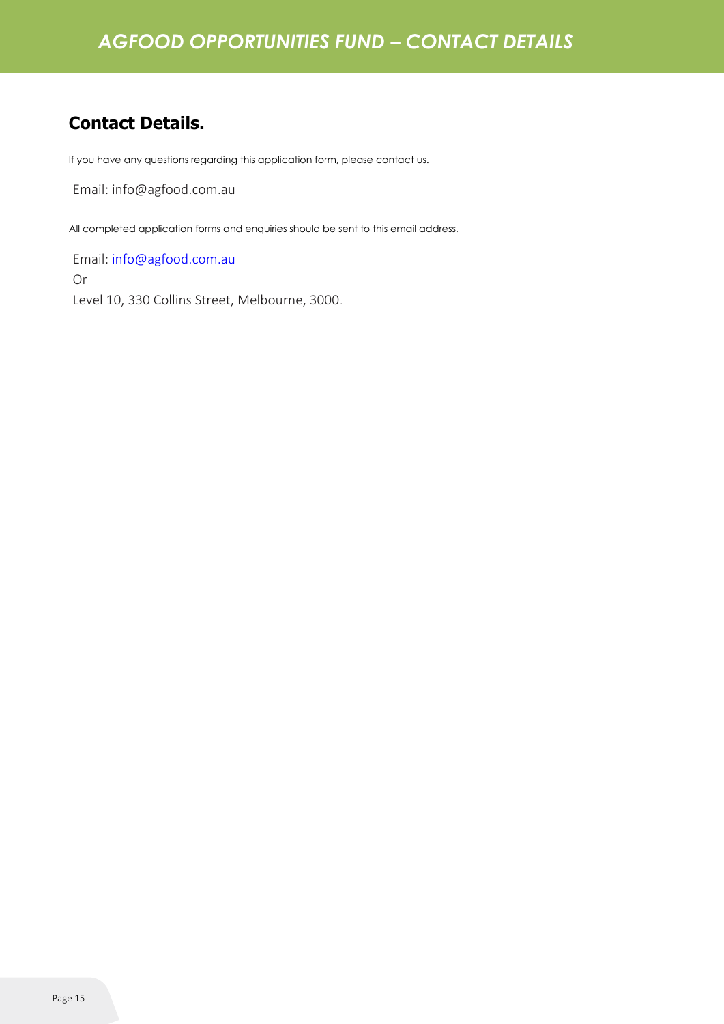## **Contact Details.**

If you have any questions regarding this application form, please contact us.

Email: info@agfood.com.au

All completed application forms and enquiries should be sent to this email address.

Email: [info@agfood.com.au](mailto:info@agfood.com.au) Or Level 10, 330 Collins Street, Melbourne, 3000.